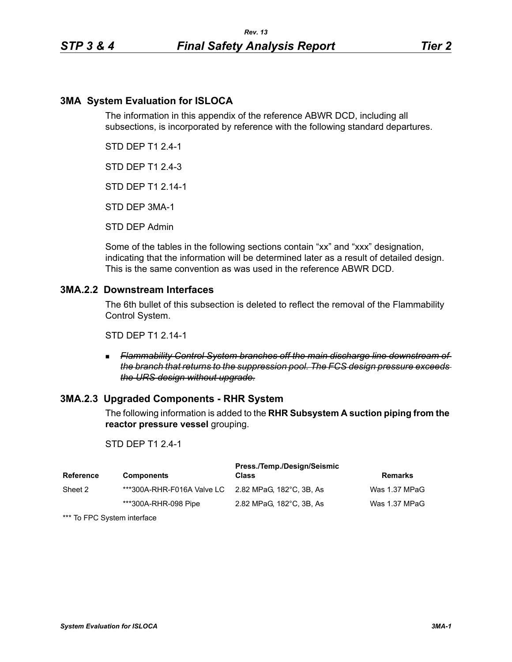# **3MA System Evaluation for ISLOCA**

The information in this appendix of the reference ABWR DCD, including all subsections, is incorporated by reference with the following standard departures.

STD DEP T1 2.4-1

STD DEP T1 2.4-3

STD DEP T1 2.14-1

STD DEP 3MA-1

STD DEP Admin

Some of the tables in the following sections contain "xx" and "xxx" designation, indicating that the information will be determined later as a result of detailed design. This is the same convention as was used in the reference ABWR DCD.

## **3MA.2.2 Downstream Interfaces**

The 6th bullet of this subsection is deleted to reflect the removal of the Flammability Control System.

STD DEP T1 2.14-1

 *Flammability Control System branches off the main discharge line downstream of the branch that returns to the suppression pool. The FCS design pressure exceeds the URS design without upgrade.*

## **3MA.2.3 Upgraded Components - RHR System**

The following information is added to the **RHR Subsystem A suction piping from the reactor pressure vessel** grouping.

### STD DEP T1 2.4-1

| Reference | <b>Components</b>                                   | Press./Temp./Design/Seismic<br><b>Class</b> | Remarks       |
|-----------|-----------------------------------------------------|---------------------------------------------|---------------|
| Sheet 2   | ***300A-RHR-F016A Valve LC 2.82 MPaG. 182°C. 3B. As |                                             | Was 1.37 MPaG |
|           | ***300A-RHR-098 Pipe                                | 2.82 MPaG, 182°C, 3B, As                    | Was 1.37 MPaG |

\*\*\* To FPC System interface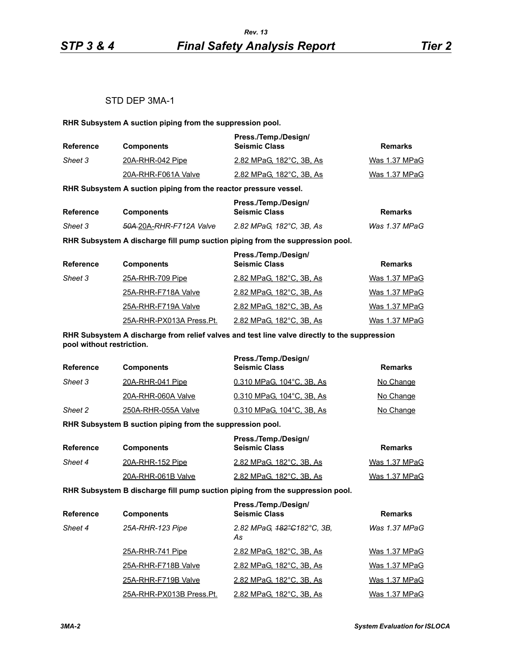## STD DEP 3MA-1

**RHR Subsystem A suction piping from the suppression pool.**

| Reference | <b>Components</b>   | Press./Temp./Design/<br><b>Seismic Class</b> | Remarks       |
|-----------|---------------------|----------------------------------------------|---------------|
| Sheet 3   | 20A-RHR-042 Pipe    | 2.82 MPaG, 182°C, 3B, As                     | Was 1.37 MPaG |
|           | 20A-RHR-F061A Valve | 2.82 MPaG, 182°C, 3B, As                     | Was 1.37 MPaG |

**RHR Subsystem A suction piping from the reactor pressure vessel.**

| <b>Reference</b> |                                     | Press./Temp./Design/     |               |
|------------------|-------------------------------------|--------------------------|---------------|
|                  | <b>Components</b>                   | <b>Seismic Class</b>     | Remarks       |
| Sheet 3          | <del>50A 2</del> 0A-RHR-F712A Valve | 2.82 MPaG. 182°C. 3B. As | Was 1.37 MPaG |

**RHR Subsystem A discharge fill pump suction piping from the suppression pool.**

| <b>Reference</b> | <b>Components</b>        | Press./Temp./Design/<br><b>Seismic Class</b> | <b>Remarks</b> |
|------------------|--------------------------|----------------------------------------------|----------------|
| Sheet 3          | 25A-RHR-709 Pipe         | 2.82 MPaG, 182°C, 3B, As                     | Was 1.37 MPaG  |
|                  | 25A-RHR-F718A Valve      | 2.82 MPaG, 182°C, 3B, As                     | Was 1.37 MPaG  |
|                  | 25A-RHR-F719A Valve      | 2.82 MPaG, 182°C, 3B, As                     | Was 1.37 MPaG  |
|                  | 25A-RHR-PX013A Press.Pt. | 2.82 MPaG, 182°C, 3B, As                     | Was 1.37 MPaG  |

**RHR Subsystem A discharge from relief valves and test line valve directly to the suppression pool without restriction.**

| <b>Reference</b> | <b>Components</b>   | Press./Temp./Design/<br><b>Seismic Class</b> | Remarks   |
|------------------|---------------------|----------------------------------------------|-----------|
| Sheet 3          | 20A-RHR-041 Pipe    | 0.310 MPaG, 104°C, 3B, As                    | No Change |
|                  | 20A-RHR-060A Valve  | 0.310 MPaG, 104°C, 3B, As                    | No Change |
| Sheet 2          | 250A-RHR-055A Valve | 0.310 MPaG, 104°C, 3B, As                    | No Change |

**RHR Subsystem B suction piping from the suppression pool.**

| Reference | <b>Components</b>  | Press./Temp./Design/<br><b>Seismic Class</b> | Remarks       |
|-----------|--------------------|----------------------------------------------|---------------|
| Sheet 4   | 20A-RHR-152 Pipe   | 2.82 MPaG, 182°C, 3B, As                     | Was 1.37 MPaG |
|           | 20A-RHR-061B Valve | 2.82 MPaG, 182°C, 3B, As                     | Was 1.37 MPaG |

**RHR Subsystem B discharge fill pump suction piping from the suppression pool.**

| <b>Reference</b> | <b>Components</b>        | Press./Temp./Design/<br><b>Seismic Class</b> | <b>Remarks</b> |
|------------------|--------------------------|----------------------------------------------|----------------|
| Sheet 4          | 25A-RHR-123 Pipe         | 2.82 MPaG, 182°C182°C, 3B,<br>As             | Was 1.37 MPaG  |
|                  | 25A-RHR-741 Pipe         | 2.82 MPaG, 182°C, 3B, As                     | Was 1.37 MPaG  |
|                  | 25A-RHR-F718B Valve      | 2.82 MPaG, 182°C, 3B, As                     | Was 1.37 MPaG  |
|                  | 25A-RHR-F719B Valve      | 2.82 MPaG, 182°C, 3B, As                     | Was 1.37 MPaG  |
|                  | 25A-RHR-PX013B Press.Pt. | 2.82 MPaG, 182°C, 3B, As                     | Was 1.37 MPaG  |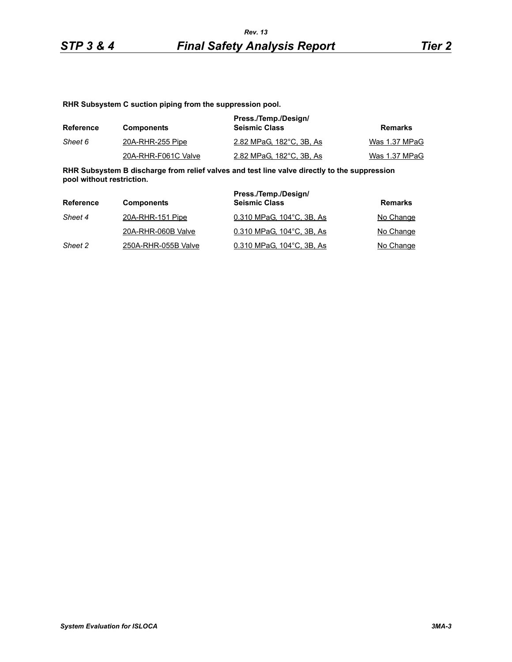**RHR Subsystem C suction piping from the suppression pool.**

| <b>Reference</b> | <b>Components</b>   | Press./Temp./Design/<br><b>Seismic Class</b> | Remarks       |
|------------------|---------------------|----------------------------------------------|---------------|
| Sheet 6          | 20A-RHR-255 Pipe    | 2.82 MPaG, 182°C, 3B, As                     | Was 1.37 MPaG |
|                  | 20A-RHR-F061C Valve | 2.82 MPaG, 182°C, 3B, As                     | Was 1.37 MPaG |

**RHR Subsystem B discharge from relief valves and test line valve directly to the suppression pool without restriction.**

| <b>Reference</b> | <b>Components</b>   | Press./Temp./Design/<br><b>Seismic Class</b> | Remarks   |
|------------------|---------------------|----------------------------------------------|-----------|
| Sheet 4          | 20A-RHR-151 Pipe    | 0.310 MPaG, 104°C, 3B, As                    | No Change |
|                  | 20A-RHR-060B Valve  | 0.310 MPaG. 104°C. 3B. As                    | No Change |
| Sheet 2          | 250A-RHR-055B Valve | 0.310 MPaG, 104°C, 3B, As                    | No Change |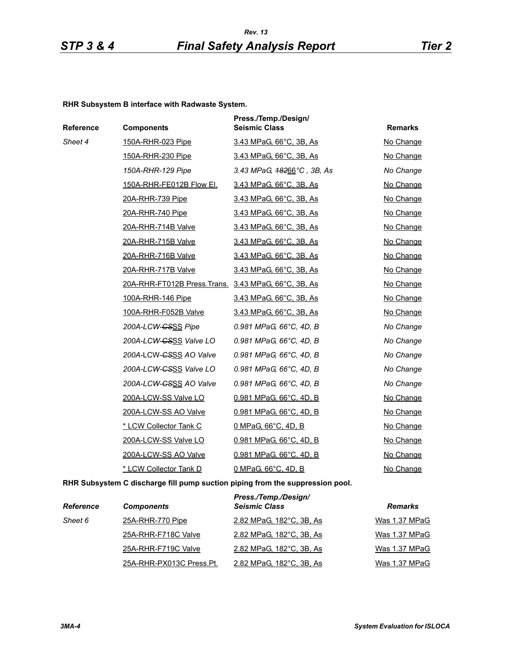#### **RHR Subsystem B interface with Radwaste System.**

| Reference | <b>Components</b>                                    | Press./Temp./Design/<br><b>Seismic Class</b> | <b>Remarks</b> |
|-----------|------------------------------------------------------|----------------------------------------------|----------------|
| Sheet 4   | 150A-RHR-023 Pipe                                    | 3.43 MPaG, 66°C, 3B, As                      | No Change      |
|           | 150A-RHR-230 Pipe                                    | 3.43 MPaG, 66°C, 3B, As                      | No Change      |
|           | 150A-RHR-129 Pipe                                    | 3.43 MPaG, $48266^{\circ}$ C, 3B, As         | No Change      |
|           | 150A-RHR-FE012B Flow El.                             | 3.43 MPaG, 66°C, 3B, As                      | No Change      |
|           | 20A-RHR-739 Pipe                                     | 3.43 MPaG, 66°C, 3B, As                      | No Change      |
|           | 20A-RHR-740 Pipe                                     | 3.43 MPaG, 66°C, 3B, As                      | No Change      |
|           | 20A-RHR-714B Valve                                   | 3.43 MPaG, 66°C, 3B, As                      | No Change      |
|           | 20A-RHR-715B Valve                                   | 3.43 MPaG, 66°C, 3B, As                      | No Change      |
|           | 20A-RHR-716B Valve                                   | 3.43 MPaG, 66°C, 3B, As                      | No Change      |
|           | 20A-RHR-717B Valve                                   | 3.43 MPaG, 66°C, 3B, As                      | No Change      |
|           | 20A-RHR-FT012B Press. Trans. 3.43 MPaG, 66°C, 3B, As |                                              | No Change      |
|           | 100A-RHR-146 Pipe                                    | 3.43 MPaG, 66°C, 3B, As                      | No Change      |
|           | 100A-RHR-F052B Valve                                 | 3.43 MPaG, 66°C, 3B, As                      | No Change      |
|           | 200A-LCW-CSSS Pipe                                   | 0.981 MPaG, 66°C, 4D, B                      | No Change      |
|           | 200A-LCW- <del>CSSS</del> Valve LO                   | 0.981 MPaG, 66°C, 4D, B                      | No Change      |
|           | 200A-LCW-CSSS AO Valve                               | 0.981 MPaG, 66°C, 4D, B                      | No Change      |
|           | 200A-LCW-GSSS Valve LO                               | 0.981 MPaG, 66°C, 4D, B                      | No Change      |
|           | 200A-LCW-CSSS AO Valve                               | 0.981 MPaG, 66°C, 4D, B                      | No Change      |
|           | 200A-LCW-SS Valve LO                                 | 0.981 MPaG, 66°C, 4D, B                      | No Change      |
|           | 200A-LCW-SS AO Valve                                 | 0.981 MPaG, 66°C, 4D, B                      | No Change      |
|           | * LCW Collector Tank C                               | 0 MPaG, 66°C, 4D, B                          | No Change      |
|           | 200A-LCW-SS Valve LO                                 | 0.981 MPaG, 66°C, 4D, B                      | No Change      |
|           | 200A-LCW-SS AO Valve                                 | 0.981 MPaG, 66°C, 4D, B                      | No Change      |
|           | * LCW Collector Tank D                               | 0 MPaG, 66°C, 4D, B                          | No Change      |

**RHR Subsystem C discharge fill pump suction piping from the suppression pool.**

| <b>Reference</b> | <b>Components</b>        | Press./Temp./Design/<br><b>Seismic Class</b> | <b>Remarks</b> |
|------------------|--------------------------|----------------------------------------------|----------------|
| Sheet 6          | 25A-RHR-770 Pipe         | 2.82 MPaG, 182°C, 3B, As                     | Was 1.37 MPaG  |
|                  | 25A-RHR-F718C Valve      | 2.82 MPaG, 182°C, 3B, As                     | Was 1.37 MPaG  |
|                  | 25A-RHR-F719C Valve      | 2.82 MPaG, 182°C, 3B, As                     | Was 1.37 MPaG  |
|                  | 25A-RHR-PX013C Press.Pt. | 2.82 MPaG, 182°C, 3B, As                     | Was 1.37 MPaG  |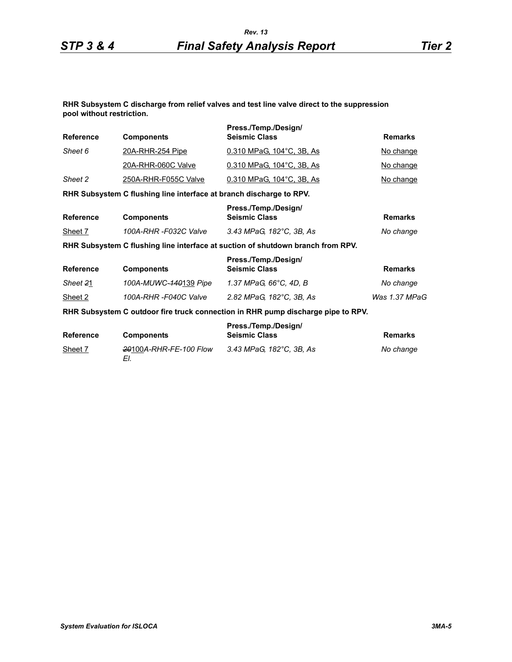#### **RHR Subsystem C discharge from relief valves and test line valve direct to the suppression pool without restriction.**

| Reference        | <b>Components</b>                                                   | Press./Temp./Design/<br><b>Seismic Class</b>                                     | <b>Remarks</b> |
|------------------|---------------------------------------------------------------------|----------------------------------------------------------------------------------|----------------|
| Sheet 6          | <u>20A-RHR-254 Pipe</u>                                             | 0.310 MPaG, 104°C, 3B, As                                                        | No change      |
|                  | 20A-RHR-060C Valve                                                  | 0.310 MPaG, 104°C, 3B, As                                                        | No change      |
| Sheet 2          | 250A-RHR-F055C Valve                                                | 0.310 MPaG, 104°C, 3B, As                                                        | No change      |
|                  | RHR Subsystem C flushing line interface at branch discharge to RPV. |                                                                                  |                |
| <b>Reference</b> | <b>Components</b>                                                   | Press./Temp./Design/<br><b>Seismic Class</b>                                     | <b>Remarks</b> |
| Sheet 7          | 100A-RHR -F032C Valve                                               | 3.43 MPaG, 182°C, 3B, As                                                         | No change      |
|                  |                                                                     | RHR Subsystem C flushing line interface at suction of shutdown branch from RPV.  |                |
| <b>Reference</b> | <b>Components</b>                                                   | Press./Temp./Design/<br><b>Seismic Class</b>                                     | <b>Remarks</b> |
| Sheet 21         | 100A-MUWC-140139 Pipe                                               | 1.37 MPaG, 66°C, 4D, B                                                           | No change      |
| Sheet 2          | 100A-RHR-F040C Valve                                                | 2.82 MPaG, 182°C, 3B, As                                                         | Was 1.37 MPaG  |
|                  |                                                                     | RHR Subsystem C outdoor fire truck connection in RHR pump discharge pipe to RPV. |                |
| <b>Reference</b> | <b>Components</b>                                                   | Press./Temp./Design/<br><b>Seismic Class</b>                                     | <b>Remarks</b> |
| Sheet 7          | 20100A-RHR-FE-100 Flow<br>EI.                                       | 3.43 MPaG, 182°C, 3B, As                                                         | No change      |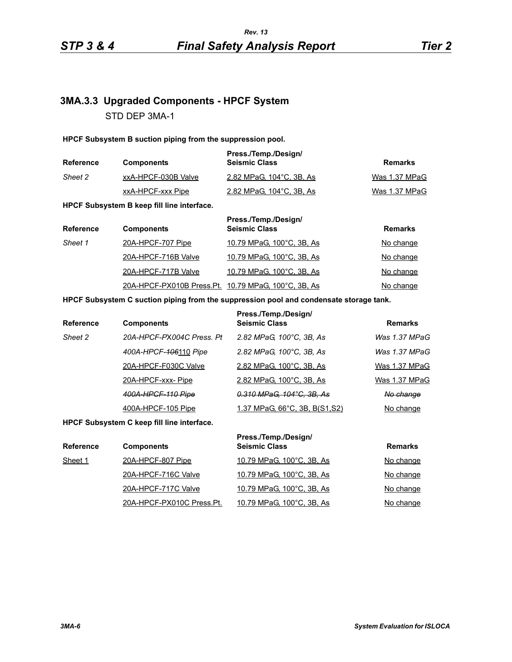# **3MA.3.3 Upgraded Components - HPCF System** STD DEP 3MA-1

#### **HPCF Subsystem B suction piping from the suppression pool.**

| Reference | <b>Components</b>   | Press./Temp./Design/<br><b>Seismic Class</b> | Remarks       |
|-----------|---------------------|----------------------------------------------|---------------|
| Sheet 2   | xxA-HPCF-030B Valve | 2.82 MPaG, 104 °C, 3B, As                    | Was 1.37 MPaG |
|           | xxA-HPCF-xxx Pipe   | 2.82 MPaG, 104°C, 3B, As                     | Was 1.37 MPaG |

**HPCF Subsystem B keep fill line interface.**

| <b>Reference</b> | <b>Components</b>                                   | Press./Temp./Design/<br><b>Seismic Class</b> | <b>Remarks</b> |
|------------------|-----------------------------------------------------|----------------------------------------------|----------------|
| Sheet 1          | 20A-HPCF-707 Pipe                                   | 10.79 MPaG, 100°C, 3B, As                    | No change      |
|                  | 20A-HPCF-716B Valve                                 | 10.79 MPaG, 100°C, 3B, As                    | No change      |
|                  | 20A-HPCF-717B Valve                                 | 10.79 MPaG, 100°C, 3B, As                    | No change      |
|                  | 20A-HPCF-PX010B Press.Pt. 10.79 MPaG, 100°C, 3B, As |                                              | No change      |

#### **HPCF Subsystem C suction piping from the suppression pool and condensate storage tank.**

| <b>Reference</b> | <b>Components</b>         | Press./Temp./Design/<br><b>Seismic Class</b> | <b>Remarks</b> |
|------------------|---------------------------|----------------------------------------------|----------------|
| Sheet 2          | 20A-HPCF-PX004C Press, Pt | 2.82 MPaG, 100°C, 3B, As                     | Was 1.37 MPaG  |
|                  | 400A-HPCF-406110 Pipe     | 2.82 MPaG, 100°C, 3B, As                     | Was 1.37 MPaG  |
|                  | 20A-HPCF-F030C Valve      | 2.82 MPaG, 100°C, 3B, As                     | Was 1.37 MPaG  |
|                  | 20A-HPCF-xxx-Pipe         | 2.82 MPaG, 100°C, 3B, As                     | Was 1.37 MPaG  |
|                  | 400A-HPCF-110 Pipe        | 0.310 MPaG, 104°C, 3B, As                    | No change      |
|                  | 400A-HPCF-105 Pipe        | <u>1.37 MPaG, 66°C, 3B, B(S1,S2)</u>         | No change      |

**HPCF Subsystem C keep fill line interface.**

| <b>Reference</b> | <b>Components</b>         | Press./Temp./Design/<br><b>Seismic Class</b> | <b>Remarks</b> |
|------------------|---------------------------|----------------------------------------------|----------------|
| Sheet 1          | 20A-HPCF-807 Pipe         | 10.79 MPaG, 100°C, 3B, As                    | No change      |
|                  | 20A-HPCF-716C Valve       | 10.79 MPaG, 100°C, 3B, As                    | No change      |
|                  | 20A-HPCF-717C Valve       | 10.79 MPaG, 100°C, 3B, As                    | No change      |
|                  | 20A-HPCF-PX010C Press.Pt. | 10.79 MPaG, 100°C, 3B, As                    | No change      |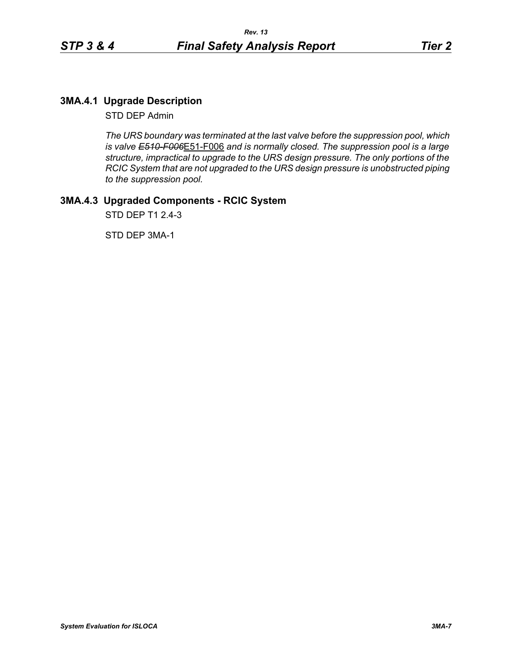# **3MA.4.1 Upgrade Description**

STD DEP Admin

*The URS boundary was terminated at the last valve before the suppression pool, which is valve E510-F006*E51-F006 *and is normally closed. The suppression pool is a large structure, impractical to upgrade to the URS design pressure. The only portions of the RCIC System that are not upgraded to the URS design pressure is unobstructed piping to the suppression pool.*

# **3MA.4.3 Upgraded Components - RCIC System**

STD DEP T1 2.4-3

STD DEP 3MA-1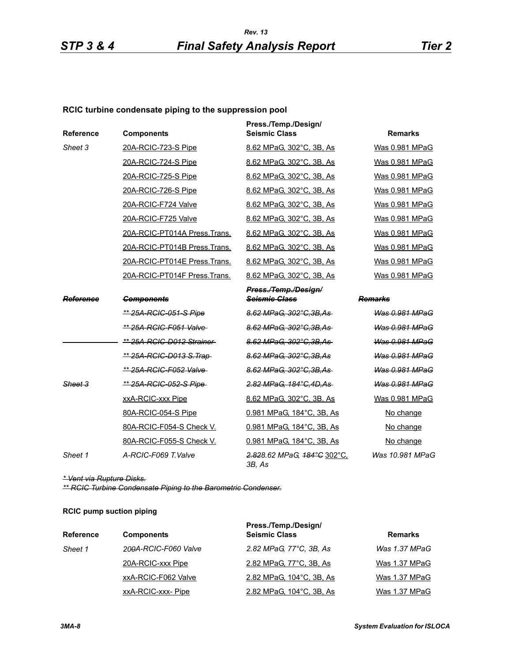## **RCIC turbine condensate piping to the suppression pool**

| Reference        | <b>Components</b>               | Press./Temp./Design/<br><b>Seismic Class</b> | <b>Remarks</b>        |
|------------------|---------------------------------|----------------------------------------------|-----------------------|
| Sheet 3          | 20A-RCIC-723-S Pipe             | 8.62 MPaG, 302°C, 3B, As                     | Was 0.981 MPaG        |
|                  | 20A-RCIC-724-S Pipe             | 8.62 MPaG, 302°C, 3B, As                     | Was 0.981 MPaG        |
|                  | 20A-RCIC-725-S Pipe             | 8.62 MPaG. 302°C. 3B. As                     | Was 0.981 MPaG        |
|                  | 20A-RCIC-726-S Pipe             | 8.62 MPaG, 302°C, 3B, As                     | Was 0.981 MPaG        |
|                  | 20A-RCIC-F724 Valve             | 8.62 MPaG, 302°C, 3B, As                     | Was 0.981 MPaG        |
|                  | 20A-RCIC-F725 Valve             | 8.62 MPaG, 302°C, 3B, As                     | Was 0.981 MPaG        |
|                  | 20A-RCIC-PT014A Press.Trans.    | 8.62 MPaG, 302°C, 3B, As                     | Was 0.981 MPaG        |
|                  | 20A-RCIC-PT014B Press.Trans.    | 8.62 MPaG, 302°C, 3B, As                     | Was 0.981 MPaG        |
|                  | 20A-RCIC-PT014E Press.Trans.    | 8.62 MPaG, 302°C, 3B, As                     | Was 0.981 MPaG        |
|                  | 20A-RCIC-PT014F Press.Trans.    | 8.62 MPaG, 302°C, 3B, As                     | Was 0.981 MPaG        |
|                  |                                 | Press./Temp./Design/                         |                       |
| <b>Reference</b> | <b>Components</b>               | <b>Seismic Class</b>                         | Remarks               |
|                  | <u>** 25A-RCIC-051-S Pipe</u>   | 8.62 MPaG, 302°C, 3B, As                     | Was 0.981 MPaG        |
|                  | ** 25A-RCIC-F051 Valve-         | 8.62 MPaG, 302°C.3B.As                       | Was 0.981 MPaG        |
|                  | ** 25A-RCIC-D012 Strainer       | 8.62 MPaG, 302°C, 3B, As                     | Was 0.981 MPaG        |
|                  | <u>** 25A-RCIC-D013 S.Trap-</u> | 8.62 MPaG, 302°C, 3B, As                     | <b>Was 0.981 MPaG</b> |
|                  | ** 25A-RCIC-F052 Valve-         | 8.62 MPaG, 302°C.3B.As                       | Was 0.981 MPaG        |
| Sheet 3          | ** 25A-RCIC-052-S Pipe          | 2.82 MPaG, 184°C, 4D, As                     | Was 0.981 MPaG        |
|                  | xxA-RCIC-xxx Pipe               | 8.62 MPaG, 302°C, 3B, As                     | Was 0.981 MPaG        |
|                  | 80A-RCIC-054-S Pipe             | 0.981 MPaG, 184°C, 3B, As                    | No change             |
|                  | 80A-RCIC-F054-S Check V.        | 0.981 MPaG, 184°C, 3B, As                    | No change             |
|                  | 80A-RCIC-F055-S Check V.        | 0.981 MPaG, 184°C, 3B, As                    | No change             |
| Sheet 1          | A-RCIC-F069 T.Valve             | 2.828.62 MPaG, 184°C 302°C,<br>3B, As        | Was 10.981 MPaG       |

*\* Vent via Rupture Disks.*

*\*\* RCIC Turbine Condensate Piping to the Barometric Condenser.*

#### **RCIC pump suction piping**

| <b>Reference</b> | <b>Components</b>    | Press./Temp./Design/<br><b>Seismic Class</b> | <b>Remarks</b> |
|------------------|----------------------|----------------------------------------------|----------------|
| Sheet 1          | 200A-RCIC-F060 Valve | 2.82 MPaG, 77°C, 3B, As                      | Was 1.37 MPaG  |
|                  | 20A-RCIC-xxx Pipe    | 2.82 MPaG, 77°C, 3B, As                      | Was 1.37 MPaG  |
|                  | xxA-RCIC-F062 Valve  | 2.82 MPaG, 104°C, 3B, As                     | Was 1.37 MPaG  |
|                  | xxA-RCIC-xxx-Pipe    | 2.82 MPaG, 104°C, 3B, As                     | Was 1.37 MPaG  |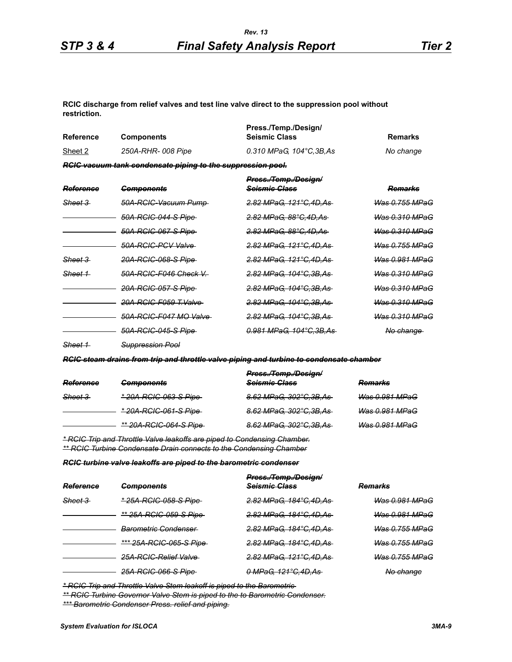**RCIC discharge from relief valves and test line valve direct to the suppression pool without restriction.**

| <b>Reference</b>   | <b>Components</b>                                           | Press./Temp./Design/<br><b>Seismic Class</b>     | <b>Remarks</b>            |
|--------------------|-------------------------------------------------------------|--------------------------------------------------|---------------------------|
| Sheet 2            | 250A-RHR-008 Pipe                                           | 0.310 MPaG, 104°C, 3B, As                        | No change                 |
|                    | RCIC vacuum tank condensate piping to the suppression pool. |                                                  |                           |
| Reference          | <del>Components</del>                                       | Press./Temp./Design/<br><del>Seismic Class</del> | <del>Remarks</del>        |
| <del>Sheet 3</del> | 50A-RCIC-Vacuum Pump-                                       | 2.82 MPaG. 121°C.4D.As                           | <del>Was 0.755 MPaG</del> |
|                    | 50A-RCIC-044-S Pipe                                         | 2.82 MPaG, 88°C, 4D, As-                         | <del>Was 0.310 MPaG</del> |
|                    | 50A-RCIC-067-S Pipe                                         | <del>2.82 MPaG. 88°C.4D.As-</del>                | Was 0.310 MPaG            |
|                    | 50A-RCIC-PCV Valve                                          | <del>2.82 MPaG. 121°C.4D.As-</del>               | <u>Was 0.755 MPaG</u>     |
| Sheet 3            | 20A-RCIC-068-S Pipe-                                        | <del>2.82 MPaG. 121°C.4D.As-</del>               | <del>Was 0.981 MPaG</del> |
| Sheet 1            | 50A-RCIC-F046 Check V                                       | <del>2.82 MPaG, 104°C,3B,As-</del>               | <del>Was 0.310 MPaG</del> |
|                    | <del>20A-RCIC-057-S Pipe</del> -                            | <del>2.82 MPaG, 104°C.3B.As-</del>               | <del>Was 0.310 MPaG</del> |
|                    | 20A-RCIC-F059 T.Valve                                       | <del>2.82 MPaG, 104°C,3B,As-</del>               | <del>Was 0.310 MPaG</del> |
|                    | 50A-RCIC-F047 MO Valve                                      | <del>2.82 MPaG, 104°C,3B,As-</del>               | Was 0.310 MPaG            |
|                    | <del>50A-RCIC-045-S Pipe</del> -                            | <del>0.981 MPaG, 104°C,3B,As-</del>              | No change                 |

*Sheet 1 Suppression Pool*

*RCIC steam drains from trip and throttle valve piping and turbine to condensate chamber*

| Reference          | <b>Components</b>             | Press./Temp./Design/<br>Seismic Class | <b>Remarks</b>        |
|--------------------|-------------------------------|---------------------------------------|-----------------------|
| <del>Sheet 3</del> | <u>* 20A-RCIC-063-S Pipe-</u> | 8.62 MPaG, 302°C, 3B, As              | Was 0.981 MPaG        |
|                    | <u>* 20A-RCIC-061-S Pipe-</u> | 8.62 MPaG, 302°C, 3B, As              | <b>Was 0.981 MPaG</b> |
|                    | ** 20A-RCIC-064-S Pipe        | 8.62 MPaG, 302°C, 3B, As              | <b>Was 0.981 MPaG</b> |

*\* RCIC Trip and Throttle Valve leakoffs are piped to Condensing Chamber. \*\* RCIC Turbine Condensate Drain connects to the Condensing Chamber*

*RCIC turbine valve leakoffs are piped to the barometric condenser*

| Reference          | <del>Components</del>           | Press./Temp./Design/<br><b>Seismic Class</b> | <del>Remarks</del>        |
|--------------------|---------------------------------|----------------------------------------------|---------------------------|
| <del>Sheet 3</del> | *25A-RCIC-058-S Pipe            | <del>2.82 MPaG, 184°C,4D,As</del>            | <del>Was 0.981 MPaG</del> |
|                    | <u>** 25A-RCIC-059-S Pipe </u>  | 2.82 MPaG, 184°C, 4D, As                     | <del>Was 0.981 MPaG</del> |
|                    | <del>Barometric Condenser</del> | 2.82 MPaG, 184°C.4D.As                       | <del>Was 0.755 MPaG</del> |
|                    | <u>*** 25A-RCIC-065-S Pipe </u> | 2.82 MPaG, 184°C.4D.As                       | <del>Was 0.755 MPaG</del> |
|                    | 25A-RCIC-Relief Valve           | 2.82 MPaG, 121°C, 4D, As                     | <del>Was 0.755 MPaG</del> |
|                    | 25A-RCIC-066-S Pipe-            | <u>0 MPaG, 121°C,4D,As-</u>                  | No change                 |

*\* RCIC Trip and Throttle Valve Stem leakoff is piped to the Barometric* 

*\*\* RCIC Turbine Governor Valve Stem is piped to the to Barometric Condenser.*

*\*\*\* Barometric Condenser Press. relief and piping.*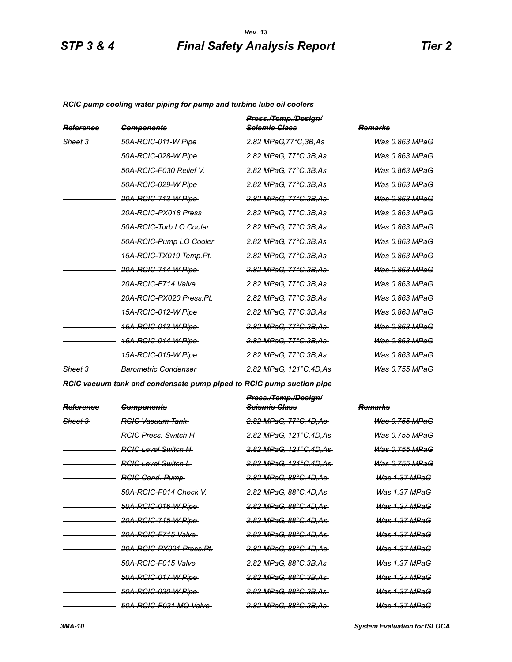#### *RCIC pump cooling water piping for pump and turbine lube oil coolers*

| Reference          | <del>Components</del>              | Press./Temp./Design/<br><del>Seismie Class</del> | Remarks                   |
|--------------------|------------------------------------|--------------------------------------------------|---------------------------|
| <del>Sheet 3</del> | <del>50A-RCIC-011-W Pipe</del>     | <del>2.82 MPaG.77°C.3B.As-</del>                 | Was 0.863 MPaG            |
|                    | <del>50A-RCIC-028-W Pipe</del>     | <del>2.82 MPaG. 77°C.3B.As-</del>                | Was 0.863 MPaG            |
|                    | 50A-RCIC-F030 Relief V.            | <del>2.82 MPaG. 77°C.3B.As-</del>                | Was 0.863 MPaG            |
|                    | 50A-RCIC-029-W Pipe                | <del>2.82 MPaG. 77°C.3B.As-</del>                | Was 0.863 MPaG            |
|                    | <del>20A-RCIC-713-W Pipe</del>     | <del>2.82 MPaG. 77°C.3B.As-</del>                | Was 0.863 MPaG            |
|                    | <del>20A-RCIC-PX018 Press</del>    | <del>2.82 MPaG. 77°C.3B.As-</del>                | Was 0.863 MPaG            |
|                    | 50A-RCIC-Turb.LO-Cooler-           | <del>2.82 MPaG. 77°C.3B.As-</del>                | Was 0.863 MPaG            |
|                    | 50A-RCIC-Pump LO Cooler-           | <del>2.82 MPaG. 77°C.3B.As-</del>                | Was 0.863 MPaG            |
|                    | <del>15A-RCIC-TX019 Temp.Pt.</del> | <del>2.82 MPaG. 77°C.3B.As-</del>                | Was 0.863 MPaG            |
|                    | 20A-RCIC-714-W Pipe                | <del>2.82 MPaG, 77°C,3B,As-</del>                | Was 0.863 MPaG            |
|                    | 20A-RCIC-F714 Valve                | <del>2.82 MPaG. 77°C.3B.As-</del>                | <del>Was 0.863 MPaG</del> |
|                    | 20A-RCIC-PX020 Press Pt.           | <del>2.82 MPaG. 77°C.3B.As-</del>                | <del>Was 0.863 MPaG</del> |
|                    | <u>15A-RCIC-012-W Pipe-</u>        | <del>2.82 MPaG, 77°C,3B,As-</del>                | <del>Was 0.863 MPaG</del> |
|                    | <del>15A-RCIC-013-W Pipe</del>     | <del>2.82 MPaG. 77°C.3B.As-</del>                | <u>Was 0.863 MPaG</u>     |
|                    | <u>15A-RCIC-014-W Pipe-</u>        | <del>2.82 MPaG. 77°C.3B.As-</del>                | <u>Was 0.863 MPaG</u>     |
|                    | <u>15A-RCIC-015-W Pipe-</u>        | 2.82 MPaG, 77°C, 3B, As-                         | <u>Was 0.863 MPaG</u>     |
| <del>Sheet 3</del> | <b>Barometric Condenser</b>        | <del>2.82 MPaG. 121°C.4D.As</del>                | Was 0.755 MPaG            |

*RCIC vacuum tank and condensate pump piped to RCIC pump suction pipe*

| Reference | <b>Components</b>              | Press./Temp./Design/<br><del>Seismic Class</del> | Remarks                   |
|-----------|--------------------------------|--------------------------------------------------|---------------------------|
| Sheet 3   | <b>RGIG Vacuum Tank</b>        | <del>2.82 MPaG, 77°C.4D.As</del>                 | Was 0.755 MPaG            |
|           | <b>RGIG Press</b> , Switch H   | <del>2.82 MPaG, 121°C.4D.As</del>                | Was 0.755 MPaG            |
|           | RGIC Level Switch H            | <u>2.82 MPaG. 121°C.4D.As</u>                    | <u>Was 0.755 MPaG</u>     |
|           | <b>RGIC Level Switch L</b>     | <del>2.82 MPaG, 121°C.4D.As</del>                | <del>Was 0.755 MPaG</del> |
|           | <b>RGIG Cond. Pump-</b>        | <u>2.82 MPaG, 88°C,4D,As-</u>                    | <b>Was 1.37 MPaG</b>      |
|           | 50A-RCIC-F014 Check V.         | <del>2.82 MPaG. 88°C.4D.As</del>                 | <del>Was 1.37 MPaG</del>  |
|           | <del>50A-RCIC-016-W Pipe</del> | <u>2.82 MPaG, 88°C,4D,As-</u>                    | Was 1.37 MPaG             |
|           | <del>20A-RCIC-715-W Pipe</del> | <del>2.82 MPaG. 88°C.4D.As</del>                 | <u> Was 1.37 MPaG</u>     |
|           | 20A-RCIC-F715 Valve            | <u>2.82 MPaG, 88°C,4D,As-</u>                    | <b>Was 1.37 MPaG</b>      |
|           | 20A-RCIC-PX021 Press.Pt.       | <del>2.82 MPaG. 88°C.4D.As</del>                 | <u>Was 1.37 MPaG</u>      |
|           | 50A-RCIC-F015 Valve            | <u>2.82 MPaG, 88°C,3B,As-</u>                    | Was 1.37 MPaG             |
|           | 50A-RCIC-017-W Pipe            | <del>2.82 MPaG. 88°C.3B.As-</del>                | <b>Was 1.37 MPaG</b>      |
|           | <del>50A-RCIC-030-W Pipe</del> | <del>2.82 MPaG, 88°C,3B,As-</del>                | <del>Was 1.37 MPaG</del>  |
|           | 50A-RCIC-F031 MO Valve         | <del>2.82 MPaG, 88°C,3B,As-</del>                | <del>Was 1.37 MPaG</del>  |

*3MA-10 System Evaluation for ISLOCA*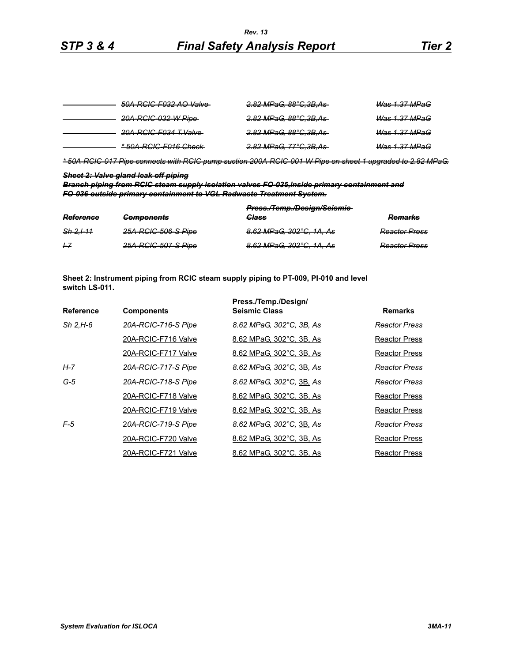| 50A-RCIC-F032 AO Valve-          | <del>2.82 MPaG, 88°C,3B,As-</del> | <b>Was 1.37 MPaG</b>     |
|----------------------------------|-----------------------------------|--------------------------|
| 20A-RCIC-032-W Pipe-             | <del>2.82 MPaG, 88°C,3B,As-</del> | <del>Was 1.37 MPaG</del> |
| <del>20A-RCIC-F034 T.Valve</del> | <del>2.82 MPaG, 88°C,3B,As-</del> | <del>Was 1.37 MPaG</del> |
| * 50A-RCIC-F016 Check            | <del>2.82 MPaG, 77°C,3B,As-</del> | <del>Was 1.37 MPaG</del> |

*\* 50A-RCIC-017 Pipe connects with RCIC pump suction 200A-RCIC-001-W Pipe on sheet 1 upgraded to 2.82 MPaG.*

#### *Sheet 2: Valve gland leak off piping*

*Branch piping from RCIC steam supply isolation valves FO-035,inside primary containment and FO-036 outside primary containment to VGL Radwaste Treatment System.*

|           |                     | Press./Temp./Design/Seismie- |                      |  |
|-----------|---------------------|------------------------------|----------------------|--|
| Reference | <b>Components</b>   | <b>Class</b>                 | <b>Remarks</b>       |  |
| Sh 2.111  | 25A-RCIC-506-S Pipe | 8.62 MPaG, 302°C, 1A, As     | <b>Reactor Press</b> |  |
| 1–7       | 25A-RCIC-507-S Pipe | 8.62 MPaG, 302°C, 1A, As     | <b>Reactor Press</b> |  |

**Sheet 2: Instrument piping from RCIC steam supply piping to PT-009, PI-010 and level switch LS-011.**

|                  |                     | Press./Temp./Design/     |                      |
|------------------|---------------------|--------------------------|----------------------|
| <b>Reference</b> | <b>Components</b>   | <b>Seismic Class</b>     | <b>Remarks</b>       |
| $Sh$ 2.H-6       | 20A-RCIC-716-S Pipe | 8.62 MPaG, 302°C, 3B, As | Reactor Press        |
|                  | 20A-RCIC-F716 Valve | 8.62 MPaG, 302°C, 3B, As | Reactor Press        |
|                  | 20A-RCIC-F717 Valve | 8.62 MPaG, 302°C, 3B, As | Reactor Press        |
| H-7              | 20A-RCIC-717-S Pipe | 8.62 MPaG, 302°C, 3B, As | <b>Reactor Press</b> |
| $G-5$            | 20A-RCIC-718-S Pipe | 8.62 MPaG, 302°C, 3B, As | Reactor Press        |
|                  | 20A-RCIC-F718 Valve | 8.62 MPaG, 302°C, 3B, As | Reactor Press        |
|                  | 20A-RCIC-F719 Valve | 8.62 MPaG, 302°C, 3B, As | Reactor Press        |
| $F-5$            | 20A-RCIC-719-S Pipe | 8.62 MPaG, 302°C, 3B, As | <b>Reactor Press</b> |
|                  | 20A-RCIC-F720 Valve | 8.62 MPaG, 302°C, 3B, As | <b>Reactor Press</b> |
|                  | 20A-RCIC-F721 Valve | 8.62 MPaG, 302°C, 3B, As | <b>Reactor Press</b> |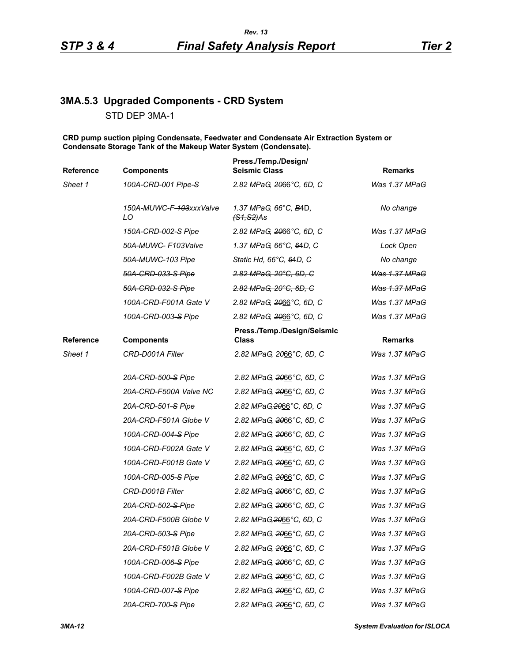# **3MA.5.3 Upgraded Components - CRD System** STD DEP 3MA-1

**CRD pump suction piping Condensate, Feedwater and Condensate Air Extraction System or Condensate Storage Tank of the Makeup Water System (Condensate).**

| <b>Reference</b> | <b>Components</b>                          | Press./Temp./Design/<br><b>Seismic Class</b>   | <b>Remarks</b> |
|------------------|--------------------------------------------|------------------------------------------------|----------------|
| Sheet 1          | 100A-CRD-001 Pipe-S                        | 2.82 MPaG, 2066°C, 6D, C                       | Was 1.37 MPaG  |
|                  | 150A-MUWC-F <del>-103</del> xxxValve<br>LO | 1.37 MPaG, 66°C, B4D,<br><del>(S1,S2)</del> As | No change      |
|                  | 150A-CRD-002-S Pipe                        | 2.82 MPaG, 2066°C, 6D, C                       | Was 1.37 MPaG  |
|                  | 50A-MUWC- F103Valve                        | 1.37 MPaG, 66°C, 64D, C                        | Lock Open      |
|                  | 50A-MUWC-103 Pipe                          | Static Hd, 66°C, 64D, C                        | No change      |
|                  | 50A-CRD-033-S Pipe                         | 2.82 MPaG, 20°C, 6D, C                         | Was 1.37 MPaG  |
|                  | 50A-CRD-032-S Pipe                         | 2.82 MPaG, 20°C, 6D, C                         | Was 1.37 MPaG  |
|                  | 100A-CRD-F001A Gate V                      | 2.82 MPaG, 2066°C, 6D, C                       | Was 1.37 MPaG  |
|                  | 100A-CRD-003-S Pipe                        | 2.82 MPaG, 2066°C, 6D, C                       | Was 1.37 MPaG  |
| Reference        | <b>Components</b>                          | Press./Temp./Design/Seismic<br><b>Class</b>    | <b>Remarks</b> |
| Sheet 1          | CRD-D001A Filter                           | 2.82 MPaG, 2066°C, 6D, C                       | Was 1.37 MPaG  |
|                  | 20A-CRD-500-S Pipe                         | 2.82 MPaG, 2066°C, 6D, C                       | Was 1.37 MPaG  |
|                  | 20A-CRD-F500A Valve NC                     | 2.82 MPaG, 2066°C, 6D, C                       | Was 1.37 MPaG  |
|                  | 20A-CRD-501-S Pipe                         | 2.82 MPaG, 2066°C, 6D, C                       | Was 1.37 MPaG  |
|                  | 20A-CRD-F501A Globe V                      | 2.82 MPaG, 2066°C, 6D, C                       | Was 1.37 MPaG  |
|                  | 100A-CRD-004-S Pipe                        | 2.82 MPaG, 2066°C, 6D, C                       | Was 1.37 MPaG  |
|                  | 100A-CRD-F002A Gate V                      | 2.82 MPaG, 2066°C, 6D, C                       | Was 1.37 MPaG  |
|                  | 100A-CRD-F001B Gate V                      | 2.82 MPaG, 2066°C, 6D, C                       | Was 1.37 MPaG  |
|                  | 100A-CRD-005-S Pipe                        | 2.82 MPaG, 2066°C, 6D, C                       | Was 1.37 MPaG  |
|                  | CRD-D001B Filter                           | 2.82 MPaG, 2066°C, 6D, C                       | Was 1.37 MPaG  |
|                  | 20A-CRD-502-S-Pipe                         | 2.82 MPaG, 2066°C, 6D, C                       | Was 1.37 MPaG  |
|                  | 20A-CRD-F500B Globe V                      | 2.82 MPaG, 2066°C, 6D, C                       | Was 1.37 MPaG  |
|                  | 20A-CRD-503-S Pipe                         | 2.82 MPaG, 2066°C, 6D, C                       | Was 1.37 MPaG  |
|                  | 20A-CRD-F501B Globe V                      | 2.82 MPaG, 2066°C, 6D, C                       | Was 1.37 MPaG  |
|                  | 100A-CRD-006-S Pipe                        | 2.82 MPaG, 2066°C, 6D, C                       | Was 1.37 MPaG  |
|                  | 100A-CRD-F002B Gate V                      | 2.82 MPaG, 2066°C, 6D, C                       | Was 1.37 MPaG  |
|                  | 100A-CRD-007-S Pipe                        | 2.82 MPaG, 2066°C, 6D, C                       | Was 1.37 MPaG  |
|                  | 20A-CRD-700-S Pipe                         | 2.82 MPaG, 2066°C, 6D, C                       | Was 1.37 MPaG  |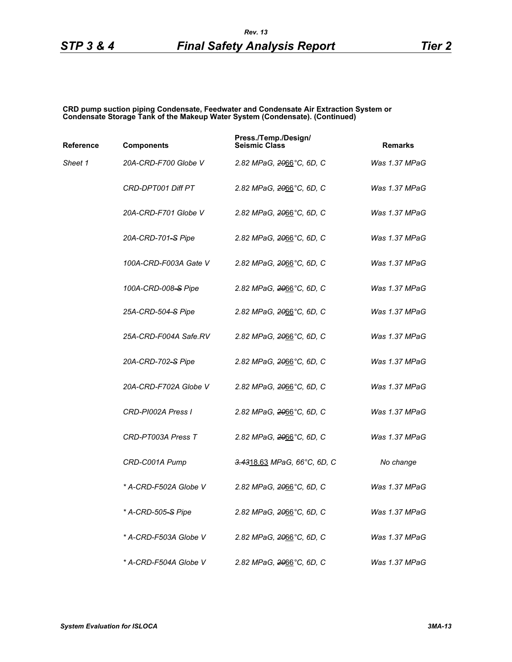**CRD pump suction piping Condensate, Feedwater and Condensate Air Extraction System or Condensate Storage Tank of the Makeup Water System (Condensate). (Continued)**

| Reference | <b>Components</b>              | Press./Temp./Design/<br><b>Seismic Class</b> | <b>Remarks</b> |
|-----------|--------------------------------|----------------------------------------------|----------------|
| Sheet 1   | 20A-CRD-F700 Globe V           | 2.82 MPaG, <del>20</del> 66°C, 6D, C         | Was 1.37 MPaG  |
|           | <b>CRD-DPT001 Diff PT</b>      | 2.82 MPaG, <del>20</del> 66°C, 6D, C         | Was 1.37 MPaG  |
|           | 20A-CRD-F701 Globe V           | 2.82 MPaG, <del>20</del> 66°C, 6D, C         | Was 1.37 MPaG  |
|           | 20A-CRD-701-S Pipe             | 2.82 MPaG, 2066°C, 6D, C                     | Was 1.37 MPaG  |
|           | 100A-CRD-F003A Gate V          | 2.82 MPaG, <del>20</del> 66°C, 6D, C         | Was 1.37 MPaG  |
|           | 100A-CRD-008-S Pipe            | 2.82 MPaG, 2066°C, 6D, C                     | Was 1.37 MPaG  |
|           | 25A-CRD-504–S Pipe             | 2.82 MPaG, 2066°C, 6D, C                     | Was 1.37 MPaG  |
|           | 25A-CRD-F004A Safe.RV          | 2.82 MPaG, 2066°C, 6D, C                     | Was 1.37 MPaG  |
|           | 20A-CRD-702–S Pipe             | 2.82 MPaG, <del>20</del> 66°C, 6D, C         | Was 1.37 MPaG  |
|           | 20A-CRD-F702A Globe V          | 2.82 MPaG, 2066°C, 6D, C                     | Was 1.37 MPaG  |
|           | CRD-PI002A Press I             | 2.82 MPaG, 2066°C, 6D, C                     | Was 1.37 MPaG  |
|           | CRD-PT003A Press T             | 2.82 MPaG, 2066°C, 6D, C                     | Was 1.37 MPaG  |
|           | CRD-C001A Pump                 | <del>3.43</del> 18.63 MPaG, 66°C, 6D, C      | No change      |
|           | * A-CRD-F502A Globe V          | 2.82 MPaG, 2066°C, 6D, C                     | Was 1.37 MPaG  |
|           | * A-CRD-505 <del>-S</del> Pipe | 2.82 MPaG, 2066°C, 6D, C                     | Was 1.37 MPaG  |
|           | * A-CRD-F503A Globe V          | 2.82 MPaG, <del>20</del> 66°C, 6D, C         | Was 1.37 MPaG  |
|           | * A-CRD-F504A Globe V          | 2.82 MPaG, 2066°C, 6D, C                     | Was 1.37 MPaG  |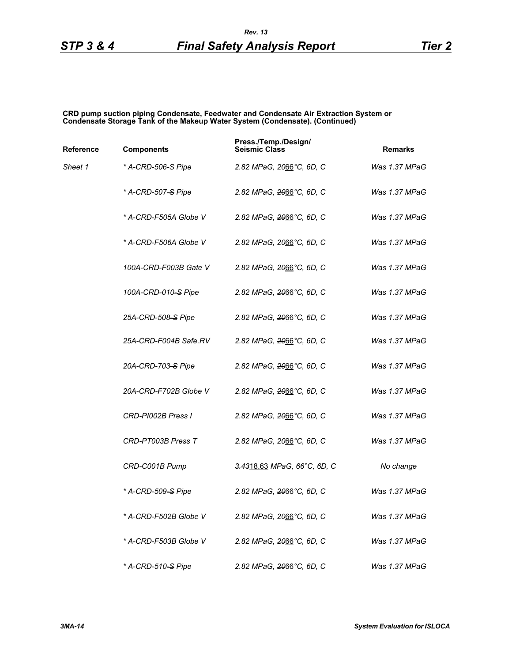#### **CRD pump suction piping Condensate, Feedwater and Condensate Air Extraction System or Condensate Storage Tank of the Makeup Water System (Condensate). (Continued)**

| Reference | <b>Components</b>              | Press./Temp./Design/<br><b>Seismic Class</b> | <b>Remarks</b> |
|-----------|--------------------------------|----------------------------------------------|----------------|
| Sheet 1   | * A-CRD-506 <del>-S</del> Pipe | 2.82 MPaG, 2066°C, 6D, C                     | Was 1.37 MPaG  |
|           | * A-CRD-507 <del>-S</del> Pipe | 2.82 MPaG, 2066°C, 6D, C                     | Was 1.37 MPaG  |
|           | * A-CRD-F505A Globe V          | 2.82 MPaG, 2066°C, 6D, C                     | Was 1.37 MPaG  |
|           | * A-CRD-F506A Globe V          | 2.82 MPaG, 2066°C, 6D, C                     | Was 1.37 MPaG  |
|           | 100A-CRD-F003B Gate V          | 2.82 MPaG, 2066°C, 6D, C                     | Was 1.37 MPaG  |
|           | 100A-CRD-010-S Pipe            | 2.82 MPaG, 2066°C, 6D, C                     | Was 1.37 MPaG  |
|           | 25A-CRD-508-S Pipe             | 2.82 MPaG, 2066°C, 6D, C                     | Was 1.37 MPaG  |
|           | 25A-CRD-F004B Safe.RV          | 2.82 MPaG, 2066°C, 6D, C                     | Was 1.37 MPaG  |
|           | 20A-CRD-703–S Pipe             | 2.82 MPaG, <del>20</del> 66°C, 6D, C         | Was 1.37 MPaG  |
|           | 20A-CRD-F702B Globe V          | 2.82 MPaG, 2066°C, 6D, C                     | Was 1.37 MPaG  |
|           | CRD-PI002B Press I             | 2.82 MPaG, 2066°C, 6D, C                     | Was 1.37 MPaG  |
|           | CRD-PT003B Press T             | 2.82 MPaG, 2066°C, 6D, C                     | Was 1.37 MPaG  |
|           | CRD-C001B Pump                 | 3.4318.63 MPaG, 66°C, 6D, C                  | No change      |
|           | * A-CRD-509 <del>-S</del> Pipe | 2.82 MPaG, <del>20</del> 66°C, 6D, C         | Was 1.37 MPaG  |
|           | * A-CRD-F502B Globe V          | 2.82 MPaG, 2066°C, 6D, C                     | Was 1.37 MPaG  |
|           | * A-CRD-F503B Globe V          | 2.82 MPaG, 2066°C, 6D, C                     | Was 1.37 MPaG  |
|           | * A-CRD-510 <del>-S</del> Pipe | 2.82 MPaG, 2066°C, 6D, C                     | Was 1.37 MPaG  |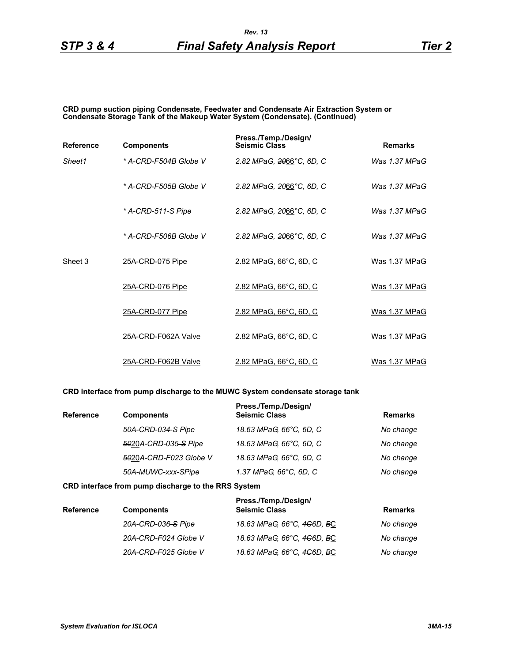**CRD pump suction piping Condensate, Feedwater and Condensate Air Extraction System or Condensate Storage Tank of the Makeup Water System (Condensate). (Continued)**

| <b>Reference</b> | <b>Components</b>     | Press./Temp./Design/<br><b>Seismic Class</b> | <b>Remarks</b>  |
|------------------|-----------------------|----------------------------------------------|-----------------|
| Sheet1           | * A-CRD-F504B Globe V | 2.82 MPaG, 2066°C, 6D, C                     | Was 1.37 MPaG   |
|                  | * A-CRD-F505B Globe V | 2.82 MPaG, 2066°C, 6D, C                     | Was $1.37$ MPaG |
|                  | * A-CRD-511-S Pipe    | 2.82 MPaG, 2066°C, 6D, C                     | Was $1.37$ MPaG |
|                  | * A-CRD-F506B Globe V | 2.82 MPaG, 2066°C, 6D, C                     | Was $1.37$ MPaG |
| Sheet 3          | 25A-CRD-075 Pipe      | 2.82 MPaG, 66°C, 6D, C                       | Was 1.37 MPaG   |
|                  | 25A-CRD-076 Pipe      | 2.82 MPaG, 66°C, 6D, C                       | Was 1.37 MPaG   |
|                  | 25A-CRD-077 Pipe      | 2.82 MPaG, 66°C, 6D, C                       | Was 1.37 MPaG   |
|                  | 25A-CRD-F062A Valve   | 2.82 MPaG, 66°C, 6D, C                       | Was 1.37 MPaG   |
|                  | 25A-CRD-F062B Valve   | 2.82 MPaG, 66°C, 6D, C                       | Was 1.37 MPaG   |

### **CRD interface from pump discharge to the MUWC System condensate storage tank**

| <b>Reference</b> | <b>Components</b>      | Press./Temp./Design/<br><b>Seismic Class</b> | <b>Remarks</b> |
|------------------|------------------------|----------------------------------------------|----------------|
|                  | 50A-CRD-034-S Pipe     | 18.63 MPaG, 66°C, 6D, C                      | No change      |
|                  | 5020A-CRD-035-S Pipe   | 18.63 MPaG, 66°C, 6D, C                      | No change      |
|                  | 5020A-CRD-F023 Globe V | 18.63 MPaG, 66°C, 6D, C                      | No change      |
|                  | 50A-MUWC-xxx-SPipe     | 1.37 MPaG, 66°C, 6D, C                       | No change      |

#### **CRD interface from pump discharge to the RRS System**

| <b>Reference</b> | <b>Components</b>    | Press./Temp./Design/<br><b>Seismic Class</b>        | <b>Remarks</b> |
|------------------|----------------------|-----------------------------------------------------|----------------|
|                  | 20A-CRD-036-S Pipe   | 18.63 MPaG, 66°C, 4 <del>C</del> 6D, BC             | No change      |
|                  | 20A-CRD-F024 Globe V | 18.63 MPaG, 66°C, 4 <del>C</del> 6D, <del>B</del> C | No change      |
|                  | 20A-CRD-F025 Globe V | 18.63 MPaG, 66°C, 4G6D, BC                          | No change      |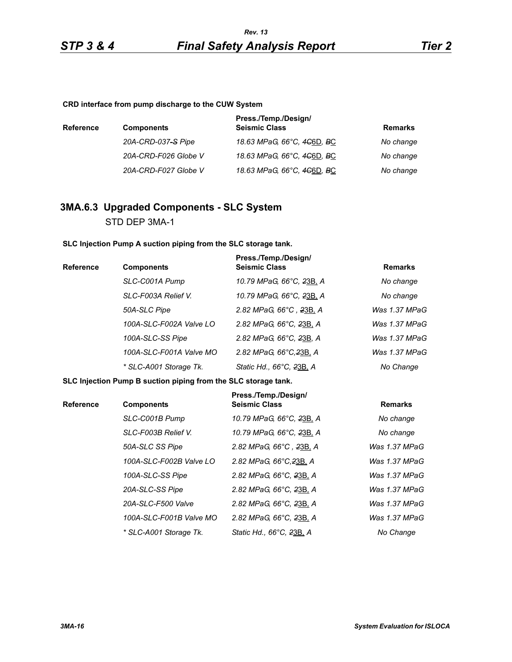#### **CRD interface from pump discharge to the CUW System**

| <b>Reference</b> | <b>Components</b>    | Press./Temp./Design/<br><b>Seismic Class</b>        | <b>Remarks</b> |
|------------------|----------------------|-----------------------------------------------------|----------------|
|                  | 20A-CRD-037-S Pipe   | 18.63 MPaG, 66°C, 4 <del>C</del> 6D, <del>B</del> C | No change      |
|                  | 20A-CRD-F026 Globe V | 18.63 MPaG, 66°C, 4 <del>C</del> 6D, <del>B</del> C | No change      |
|                  | 20A-CRD-F027 Globe V | 18.63 MPaG, 66°C, 4 <del>C</del> 6D, <del>B</del> C | No change      |

# **3MA.6.3 Upgraded Components - SLC System**

STD DEP 3MA-1

#### **SLC Injection Pump A suction piping from the SLC storage tank.**

| Reference | <b>Components</b>       | Press./Temp./Design/<br><b>Seismic Class</b> | <b>Remarks</b> |
|-----------|-------------------------|----------------------------------------------|----------------|
|           | SLC-C001A Pump          | 10.79 MPaG, 66°C, 23B, A                     | No change      |
|           | SLC-F003A Relief V.     | 10.79 MPaG, 66°C, 23B, A                     | No change      |
|           | 50A-SLC Pipe            | 2.82 MPaG, 66°C, 23B, A                      | Was 1.37 MPaG  |
|           | 100A-SLC-F002A Valve LO | 2.82 MPaG, 66°C, 23B, A                      | Was 1.37 MPaG  |
|           | 100A-SLC-SS Pipe        | 2.82 MPaG, 66°C, 23B, A                      | Was 1.37 MPaG  |
|           | 100A-SLC-F001A Valve MO | 2.82 MPaG, 66°C, 23B, A                      | Was 1.37 MPaG  |
|           | * SLC-A001 Storage Tk.  | Static Hd., 66°C, 23B, A                     | No Change      |

#### **SLC Injection Pump B suction piping from the SLC storage tank.**

| <b>Reference</b> | <b>Components</b>       | Press./Temp./Design/<br><b>Seismic Class</b> | <b>Remarks</b>  |
|------------------|-------------------------|----------------------------------------------|-----------------|
|                  | SLC-C001B Pump          | 10.79 MPaG, 66°C, 23B, A                     | No change       |
|                  | SLC-F003B Relief V.     | 10.79 MPaG, 66°C, <del>2</del> 3B, A         | No change       |
|                  | 50A-SLC SS Pipe         | 2.82 MPaG, 66°C, 23B, A                      | Was 1.37 MPaG   |
|                  | 100A-SLC-F002B Valve LO | 2.82 MPaG, 66°C, 23B, A                      | Was $1.37$ MPaG |
|                  | 100A-SLC-SS Pipe        | 2.82 MPaG, 66°C, 23B, A                      | Was $1.37$ MPaG |
|                  | 20A-SLC-SS Pipe         | 2.82 MPaG, 66°C, 23B, A                      | Was 1.37 MPaG   |
|                  | 20A-SLC-F500 Valve      | 2.82 MPaG, 66°C, 23B, A                      | Was $1.37$ MPaG |
|                  | 100A-SLC-F001B Valve MO | 2.82 MPaG, 66°C, 23B, A                      | Was 1.37 MPaG   |
|                  | * SLC-A001 Storage Tk.  | Static Hd., 66°C, 23B, A                     | No Change       |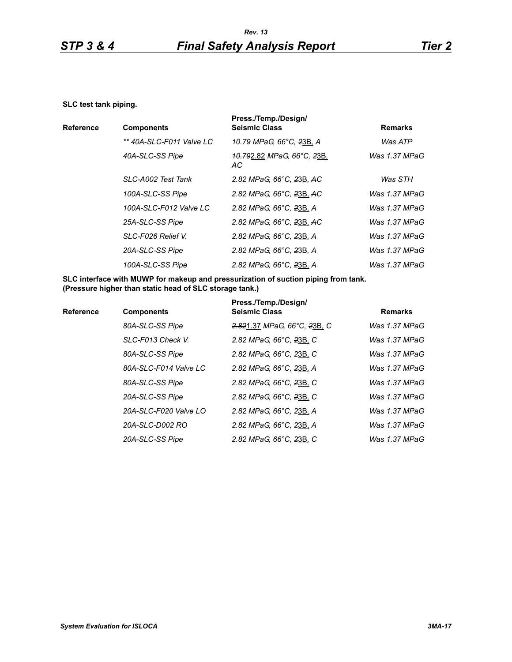#### **SLC test tank piping.**

|                  |                          | Press./Temp./Design/                                            |                |
|------------------|--------------------------|-----------------------------------------------------------------|----------------|
| <b>Reference</b> | <b>Components</b>        | <b>Seismic Class</b>                                            | <b>Remarks</b> |
|                  | ** 40A-SLC-F011 Valve LC | 10.79 MPaG, 66°C, 23B, A                                        | Was ATP        |
|                  | 40A-SLC-SS Pipe          | <del>.10.79</del> 2.82 <i>MPaG, 66°C, <del>2</del>3B</i><br>AC. | Was 1.37 MPaG  |
|                  | SLC-A002 Test Tank       | 2.82 MPaG, 66°C, 23B, AC                                        | Was STH        |
|                  | 100A-SLC-SS Pipe         | 2.82 MPaG, 66°C, 23B, AC                                        | Was 1.37 MPaG  |
|                  | 100A-SLC-F012 Valve LC   | 2.82 MPaG, 66°C, 23B, A                                         | Was 1.37 MPaG  |
|                  | 25A-SLC-SS Pipe          | 2.82 MPaG, 66°C, 23B, AC                                        | Was 1.37 MPaG  |
|                  | SLC-F026 Relief V.       | 2.82 MPaG, 66°C, 23B, A                                         | Was 1.37 MPaG  |
|                  | 20A-SLC-SS Pipe          | 2.82 MPaG, 66°C, 23B, A                                         | Was 1.37 MPaG  |
|                  | 100A-SLC-SS Pipe         | 2.82 MPaG, 66°C, 23B, A                                         | Was 1.37 MPaG  |

**SLC interface with MUWP for makeup and pressurization of suction piping from tank. (Pressure higher than static head of SLC storage tank.)**

| <b>Reference</b> | <b>Components</b>     | Press./Temp./Design/<br><b>Seismic Class</b> | <b>Remarks</b>   |
|------------------|-----------------------|----------------------------------------------|------------------|
|                  | 80A-SLC-SS Pipe       | 2.821.37 MPaG, 66°C, 23B, C                  | Was $1.37$ MPaG  |
|                  | SLC-F013 Check V.     | 2.82 MPaG, 66°C, 23B, C                      | Was 1.37 MPaG    |
|                  | 80A-SLC-SS Pipe       | 2.82 MPaG, 66°C, 23B, C                      | Was $1.37$ MPaG  |
|                  | 80A-SLC-F014 Valve LC | 2.82 MPaG, 66°C, 23B, A                      | Was 1.37 MPaG    |
|                  | 80A-SLC-SS Pipe       | 2.82 MPaG, 66°C, 23B, C                      | Was 1.37 MPaG    |
|                  | 20A-SLC-SS Pipe       | 2.82 MPaG, 66°C, 23B, C                      | Was $1.37$ MPaG  |
|                  | 20A-SLC-F020 Valve LO | 2.82 MPaG, 66°C, 23B, A                      | Was 1.37 MPaG    |
|                  | 20A-SLC-D002 RO       | 2.82 MPaG, 66°C, 23B, A                      | Was 1.37 MPaG    |
|                  | 20A-SLC-SS Pipe       | 2.82 MPaG, 66°C, 23B, C                      | Was 1.37 MPa $G$ |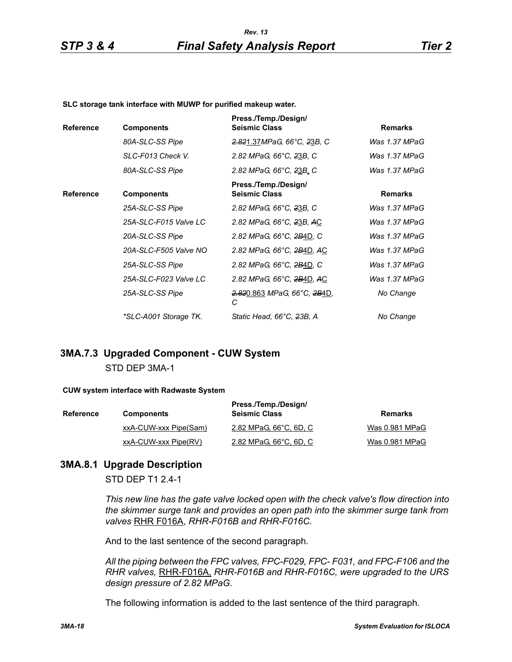#### **SLC storage tank interface with MUWP for purified makeup water.**

| <b>Reference</b> | <b>Components</b>     | Press./Temp./Design/<br><b>Seismic Class</b>                     | <b>Remarks</b>  |
|------------------|-----------------------|------------------------------------------------------------------|-----------------|
|                  | 80A-SLC-SS Pipe       | 2.821.37MPaG, 66°C, 23B, C                                       | Was 1.37 MPaG   |
|                  | SLC-F013 Check V.     | 2.82 MPaG, 66°C, 23B, C                                          | Was 1.37 MPaG   |
|                  | 80A-SLC-SS Pipe       | 2.82 MPaG, 66°C, 23B, C                                          | Was $1.37$ MPaG |
| <b>Reference</b> | <b>Components</b>     | Press./Temp./Design/<br><b>Seismic Class</b>                     | <b>Remarks</b>  |
|                  | 25A-SLC-SS Pipe       | 2.82 MPaG, 66°C, 23B, C                                          | Was 1.37 MPaG   |
|                  | 25A-SLC-F015 Valve LC | 2.82 MPaG, 66°C, 23B, AC                                         | Was 1.37 MPaG   |
|                  | 20A-SLC-SS Pipe       | 2.82 MPaG, 66°C, 2B4D, C                                         | Was 1.37 MPaG   |
|                  | 20A-SLC-F505 Valve NO | 2.82 MPaG, 66°C, 2B4D, AC                                        | Was 1.37 MPaG   |
|                  | 25A-SLC-SS Pipe       | 2.82 MPaG, 66°C, 2B4D, C                                         | Was 1.37 MPaG   |
|                  | 25A-SLC-F023 Valve LC | 2.82 MPaG, 66°C, 2B4D, AC                                        | Was 1.37 MPaG   |
|                  | 25A-SLC-SS Pipe       | <del>2.82</del> 0.863 <i>MPaG</i> , 66°C, <del>2B</del> 4D,<br>С | No Change       |
|                  | *SLC-A001 Storage TK. | Static Head, 66°C, 23B, A                                        | No Change       |

# **3MA.7.3 Upgraded Component - CUW System** STD DEP 3MA-1

#### **CUW system interface with Radwaste System**

| Reference | <b>Components</b>     | Press./Temp./Design/<br><b>Seismic Class</b> | Remarks        |
|-----------|-----------------------|----------------------------------------------|----------------|
|           | xxA-CUW-xxx Pipe(Sam) | 2.82 MPaG, 66°C, 6D, C                       | Was 0.981 MPaG |
|           | xxA-CUW-xxx Pipe(RV)  | <u>2.82 MPaG, 66°C, 6D, C</u>                | Was 0.981 MPaG |

## **3MA.8.1 Upgrade Description**

STD DEP T1 2.4-1

*This new line has the gate valve locked open with the check valve's flow direction into the skimmer surge tank and provides an open path into the skimmer surge tank from valves* RHR F016A, *RHR-F016B and RHR-F016C.*

And to the last sentence of the second paragraph.

*All the piping between the FPC valves, FPC-F029, FPC- F031, and FPC-F106 and the RHR valves,* RHR-F016A, *RHR-F016B and RHR-F016C, were upgraded to the URS design pressure of 2.82 MPaG.*

The following information is added to the last sentence of the third paragraph.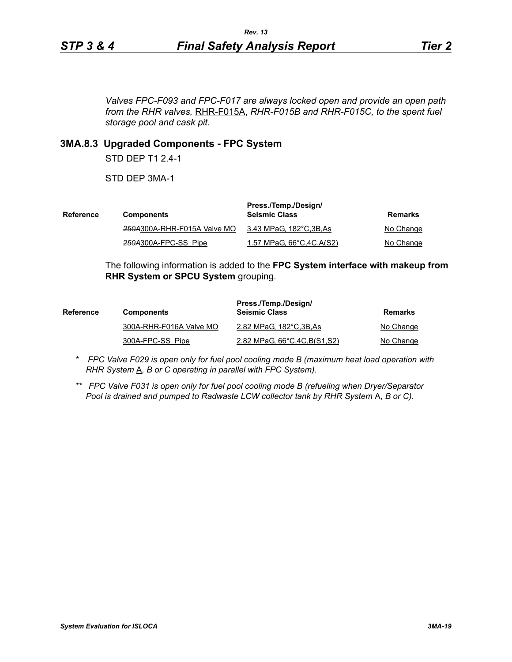*Valves FPC-F093 and FPC-F017 are always locked open and provide an open path from the RHR valves,* RHR-F015A, *RHR-F015B and RHR-F015C, to the spent fuel storage pool and cask pit.*

## **3MA.8.3 Upgraded Components - FPC System**

STD DEP T1 2.4-1

STD DEP 3MA-1

| Reference | <b>Components</b>           | Press./Temp./Design/<br><b>Seismic Class</b> | Remarks   |
|-----------|-----------------------------|----------------------------------------------|-----------|
|           | 250A300A-RHR-F015A Valve MO | 3.43 MPaG, 182°C,3B,As                       | No Change |
|           | 250A300A-FPC-SS Pipe        | 1.57 MPaG, 66°C, 4C, A(S2)                   | No Change |

The following information is added to the **FPC System interface with makeup from RHR System or SPCU System** grouping.

| <b>Reference</b> | <b>Components</b>       | Press./Temp./Design/<br><b>Seismic Class</b> | Remarks   |
|------------------|-------------------------|----------------------------------------------|-----------|
|                  | 300A-RHR-F016A Valve MO | 2.82 MPaG, 182°C, 3B, As                     | No Change |
|                  | 300A-FPC-SS Pipe        | 2.82 MPaG, 66°C, 4C, B(S1, S2)               | No Change |

- *\* FPC Valve F029 is open only for fuel pool cooling mode B (maximum heat load operation with RHR System*  $\underline{A}$ *, B or C operating in parallel with FPC System).*
- *\*\* FPC Valve F031 is open only for fuel pool cooling mode B (refueling when Dryer/Separator Pool is drained and pumped to Radwaste LCW collector tank by RHR System* A, *B or C).*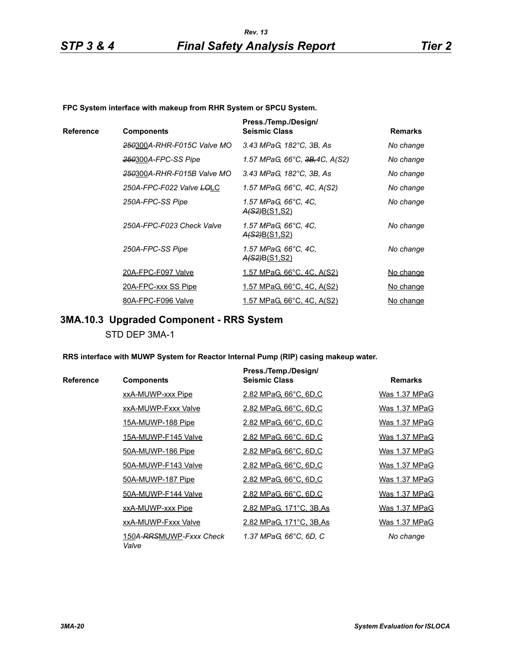**FPC System interface with makeup from RHR System or SPCU System.**

|           |                                        | Press./Temp./Design/                         |                  |
|-----------|----------------------------------------|----------------------------------------------|------------------|
| Reference | <b>Components</b>                      | <b>Seismic Class</b>                         | <b>Remarks</b>   |
|           | 250300A-RHR-F015C Valve MO             | 3.43 MPaG, 182°C, 3B, As                     | No change        |
|           | 250300A-FPC-SS Pipe                    | 1.57 MPaG, 66°C, <del>3B,</del> 4C, A(S2)    | No change        |
|           | <del>250</del> 300A-RHR-F015B Valve MO | 3.43 MPaG, 182°C, 3B, As                     | No change        |
|           | 250A-FPC-F022 Valve LOLC               | 1.57 MPaG, 66°C, 4C, A(S2)                   | No change        |
|           | 250A-FPC-SS Pipe                       | 1.57 MPaG, 66°C, 4C,<br><u>A(S2)B(S1,S2)</u> | No change        |
|           | 250A-FPC-F023 Check Valve              | 1.57 MPaG, 66°C, 4C,<br>A(S2)B(S1,S2)        | No change        |
|           | 250A-FPC-SS Pipe                       | 1.57 MPaG, 66°C, 4C,<br><u>A(S2)B(S1,S2)</u> | No change        |
|           | 20A-FPC-F097 Valve                     | <u>1.57 MPaG, 66°C, 4C, A(S2)</u>            | No change        |
|           | 20A-FPC-xxx SS Pipe                    | <u>1.57 MPaG, 66°C, 4C, A(S2)</u>            | <u>No change</u> |
|           | 80A-FPC-F096 Valve                     | 1.57 MPaG, 66°C, 4C, A(S2)                   | No change        |

# **3MA.10.3 Upgraded Component - RRS System**

STD DEP 3MA-1

**RRS interface with MUWP System for Reactor Internal Pump (RIP) casing makeup water.**

|           |                                  | Press./Temp./Design/     |                |
|-----------|----------------------------------|--------------------------|----------------|
| Reference | <b>Components</b>                | <b>Seismic Class</b>     | <b>Remarks</b> |
|           | xxA-MUWP-xxx Pipe                | 2.82 MPaG, 66°C, 6D,C    | Was 1.37 MPaG  |
|           | xxA-MUWP-Fxxx Valve              | 2.82 MPaG, 66°C, 6D,C    | Was 1.37 MPaG  |
|           | 15A-MUWP-188 Pipe                | 2.82 MPaG, 66°C, 6D,C    | Was 1.37 MPaG  |
|           | 15A-MUWP-F145 Valve              | 2.82 MPaG, 66°C, 6D,C    | Was 1.37 MPaG  |
|           | 50A-MUWP-186 Pipe                | 2.82 MPaG, 66°C, 6D,C    | Was 1.37 MPaG  |
|           | 50A-MUWP-F143 Valve              | 2.82 MPaG, 66°C, 6D,C    | Was 1.37 MPaG  |
|           | 50A-MUWP-187 Pipe                | 2.82 MPaG, 66°C, 6D,C    | Was 1.37 MPaG  |
|           | 50A-MUWP-F144 Valve              | 2.82 MPaG, 66°C, 6D,C    | Was 1.37 MPaG  |
|           | xxA-MUWP-xxx Pipe                | 2.82 MPaG, 171°C, 3B, As | Was 1.37 MPaG  |
|           | xxA-MUWP-Fxxx Valve              | 2.82 MPaG, 171°C, 3B, As | Was 1.37 MPaG  |
|           | 150A-RRSMUWP-Fxxx Check<br>Valve | 1.37 MPaG, 66°C, 6D, C   | No change      |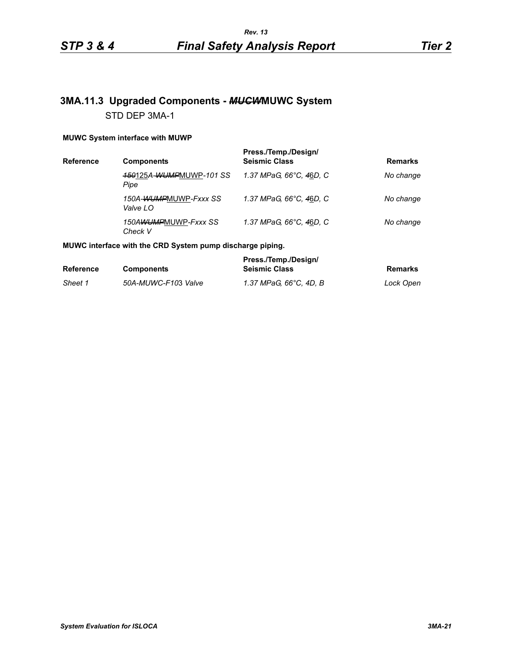# **3MA.11.3 Upgraded Components -** *MUCW***MUWC System** STD DEP 3MA-1

#### **MUWC System interface with MUWP**

| <b>Reference</b> | <b>Components</b>                 | Press./Temp./Design/<br><b>Seismic Class</b> | <b>Remarks</b> |
|------------------|-----------------------------------|----------------------------------------------|----------------|
|                  | 150125A-WUMPMUWP-101 SS<br>Pipe   | 1.37 MPaG, 66°C, 46D, C                      | No change      |
|                  | 150A-WUMPMUWP-Fxxx SS<br>Valve LO | 1.37 MPaG, 66°C, 46D, C                      | No change      |
|                  | 150AWUMPMUWP-Fxxx SS<br>Check V   | 1.37 MPaG, 66°C, 46D, C                      | No change      |

#### **MUWC interface with the CRD System pump discharge piping.**

|                  |                     | Press./Temp./Design/   |           |
|------------------|---------------------|------------------------|-----------|
| <b>Reference</b> | <b>Components</b>   | <b>Seismic Class</b>   | Remarks   |
| Sheet 1          | 50A-MUWC-F103 Valve | 1.37 MPaG. 66°C. 4D. B | Lock Open |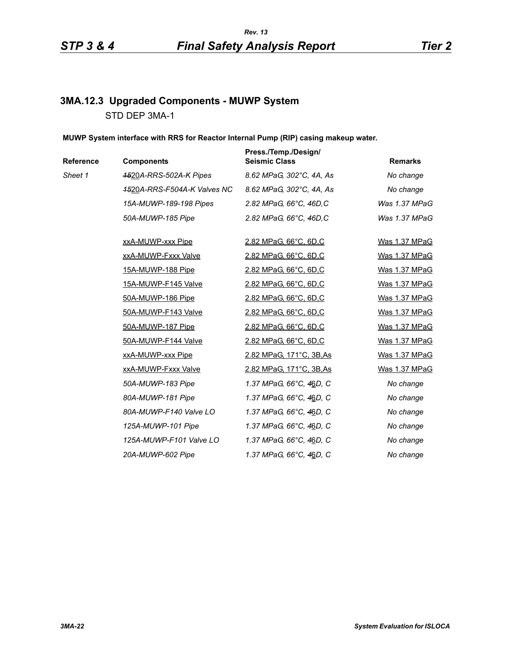# **3MA.12.3 Upgraded Components - MUWP System** STD DEP 3MA-1

#### **MUWP System interface with RRS for Reactor Internal Pump (RIP) casing makeup water.**

| Reference | <b>Components</b>           | Press./Temp./Design/<br><b>Seismic Class</b> | <b>Remarks</b> |
|-----------|-----------------------------|----------------------------------------------|----------------|
| Sheet 1   | 4520A-RRS-502A-K Pipes      | 8.62 MPaG, 302°C, 4A, As                     | No change      |
|           | 4520A-RRS-F504A-K Valves NC | 8.62 MPaG, 302°C, 4A, As                     | No change      |
|           | 15A-MUWP-189-198 Pipes      | 2.82 MPaG, 66°C, 46D,C                       | Was 1.37 MPaG  |
|           | 50A-MUWP-185 Pipe           | 2.82 MPaG, 66°C, 46D,C                       | Was 1.37 MPaG  |
|           | xxA-MUWP-xxx Pipe           | 2.82 MPaG, 66°C, 6D,C                        | Was 1.37 MPaG  |
|           | xxA-MUWP-Fxxx Valve         | 2.82 MPaG, 66°C, 6D,C                        | Was 1.37 MPaG  |
|           | 15A-MUWP-188 Pipe           | 2.82 MPaG, 66°C, 6D,C                        | Was 1.37 MPaG  |
|           | 15A-MUWP-F145 Valve         | 2.82 MPaG, 66°C, 6D,C                        | Was 1.37 MPaG  |
|           | 50A-MUWP-186 Pipe           | 2.82 MPaG, 66°C, 6D,C                        | Was 1.37 MPaG  |
|           | 50A-MUWP-F143 Valve         | 2.82 MPaG, 66°C, 6D,C                        | Was 1.37 MPaG  |
|           | 50A-MUWP-187 Pipe           | 2.82 MPaG, 66°C, 6D,C                        | Was 1.37 MPaG  |
|           | 50A-MUWP-F144 Valve         | 2.82 MPaG, 66°C, 6D,C                        | Was 1.37 MPaG  |
|           | xxA-MUWP-xxx Pipe           | 2.82 MPaG, 171°C, 3B, As                     | Was 1.37 MPaG  |
|           | xxA-MUWP-Fxxx Valve         | <u>2.82 MPaG, 171°C, 3B, As</u>              | Was 1.37 MPaG  |
|           | 50A-MUWP-183 Pipe           | 1.37 MPaG, 66°C, 46D, C                      | No change      |
|           | 80A-MUWP-181 Pipe           | 1.37 MPaG, 66°C, 46D, C                      | No change      |
|           | 80A-MUWP-F140 Valve LO      | 1.37 MPaG, 66°C, 4 <u>6</u> D, C             | No change      |
|           | 125A-MUWP-101 Pipe          | 1.37 MPaG, 66°C, 46D, C                      | No change      |
|           | 125A-MUWP-F101 Valve LO     | 1.37 MPaG, 66°C, 46D, C                      | No change      |
|           | 20A-MUWP-602 Pipe           | 1.37 MPaG, 66°C, 46D, C                      | No change      |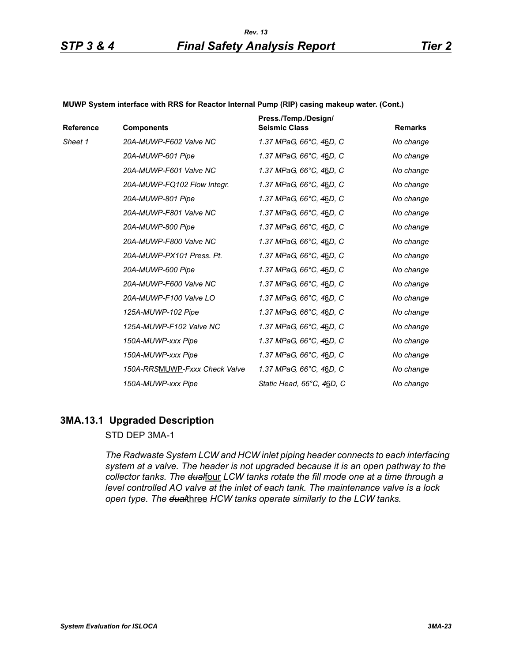#### **MUWP System interface with RRS for Reactor Internal Pump (RIP) casing makeup water. (Cont.)**

| Reference | <b>Components</b>             | Press./Temp./Design/<br><b>Seismic Class</b> | <b>Remarks</b> |
|-----------|-------------------------------|----------------------------------------------|----------------|
| Sheet 1   | 20A-MUWP-F602 Valve NC        | 1.37 MPaG, 66°C, 46D, C                      | No change      |
|           | 20A-MUWP-601 Pipe             | 1.37 MPaG, 66°C, 4 <u>6</u> D, C             | No change      |
|           | 20A-MUWP-F601 Valve NC        | 1.37 MPaG, 66°C, 46D, C                      | No change      |
|           | 20A-MUWP-FQ102 Flow Integr.   | 1.37 MPaG, 66°C, 46D, C                      | No change      |
|           | 20A-MUWP-801 Pipe             | 1.37 MPaG, 66°C, 46D, C                      | No change      |
|           | 20A-MUWP-F801 Valve NC        | 1.37 MPaG, 66°C, 46D, C                      | No change      |
|           | 20A-MUWP-800 Pipe             | 1.37 MPaG, 66°C, 46D, C                      | No change      |
|           | 20A-MUWP-F800 Valve NC        | 1.37 MPaG, 66°C, 46D, C                      | No change      |
|           | 20A-MUWP-PX101 Press. Pt.     | 1.37 MPaG, 66°C, 46D, C                      | No change      |
|           | 20A-MUWP-600 Pipe             | 1.37 MPaG, 66°C, 46D, C                      | No change      |
|           | 20A-MUWP-F600 Valve NC        | 1.37 MPaG, 66°C, 4 <u>6</u> D, C             | No change      |
|           | 20A-MUWP-F100 Valve LO        | 1.37 MPaG, 66°C, 46D, C                      | No change      |
|           | 125A-MUWP-102 Pipe            | 1.37 MPaG, 66°C, 46D, C                      | No change      |
|           | 125A-MUWP-F102 Valve NC       | 1.37 MPaG, 66°C, 4 <u>6</u> D, C             | No change      |
|           | 150A-MUWP-xxx Pipe            | 1.37 MPaG, 66°C, 46D, C                      | No change      |
|           | 150A-MUWP-xxx Pipe            | 1.37 MPaG, 66°C, 46D, C                      | No change      |
|           | 150A-RRSMUWP-Fxxx Check Valve | 1.37 MPaG, 66°C, 46D, C                      | No change      |
|           | 150A-MUWP-xxx Pipe            | Static Head, 66°C, 46D, C                    | No change      |

## **3MA.13.1 Upgraded Description**

### STD DEP 3MA-1

*The Radwaste System LCW and HCW inlet piping header connects to each interfacing system at a valve. The header is not upgraded because it is an open pathway to the*  collector tanks. The dualfour LCW tanks rotate the fill mode one at a time through a *level controlled AO valve at the inlet of each tank. The maintenance valve is a lock open type. The dual*three *HCW tanks operate similarly to the LCW tanks.*